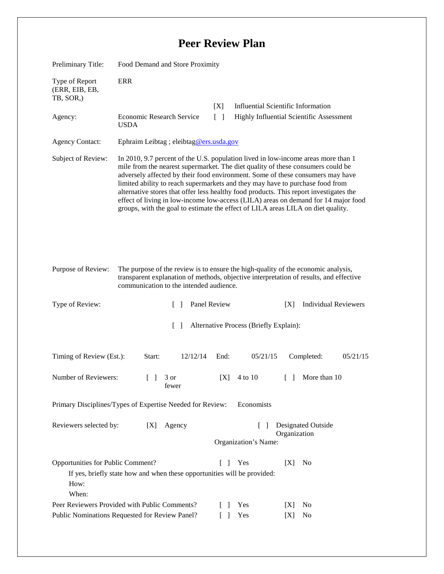## **Peer Review Plan**

| Preliminary Title:                                                                                                                                                                  | Food Demand and Store Proximity                                                                                                                                                                                                                                                                                                                                                                                                                                                                                                                                                                             |              |                                      |                                                   |  |
|-------------------------------------------------------------------------------------------------------------------------------------------------------------------------------------|-------------------------------------------------------------------------------------------------------------------------------------------------------------------------------------------------------------------------------------------------------------------------------------------------------------------------------------------------------------------------------------------------------------------------------------------------------------------------------------------------------------------------------------------------------------------------------------------------------------|--------------|--------------------------------------|---------------------------------------------------|--|
| Type of Report<br>(ERR, EIB, EB,<br>TB, SOR,)                                                                                                                                       | <b>ERR</b>                                                                                                                                                                                                                                                                                                                                                                                                                                                                                                                                                                                                  |              |                                      |                                                   |  |
|                                                                                                                                                                                     |                                                                                                                                                                                                                                                                                                                                                                                                                                                                                                                                                                                                             | [X]          |                                      | <b>Influential Scientific Information</b>         |  |
| Agency:                                                                                                                                                                             | Economic Research Service<br>$\Box$<br><b>USDA</b>                                                                                                                                                                                                                                                                                                                                                                                                                                                                                                                                                          |              |                                      | Highly Influential Scientific Assessment          |  |
| <b>Agency Contact:</b>                                                                                                                                                              | Ephraim Leibtag ; eleibtag@ers.usda.gov                                                                                                                                                                                                                                                                                                                                                                                                                                                                                                                                                                     |              |                                      |                                                   |  |
| Subject of Review:                                                                                                                                                                  | In 2010, 9.7 percent of the U.S. population lived in low-income areas more than 1<br>mile from the nearest supermarket. The diet quality of these consumers could be<br>adversely affected by their food environment. Some of these consumers may have<br>limited ability to reach supermarkets and they may have to purchase food from<br>alternative stores that offer less healthy food products. This report investigates the<br>effect of living in low-income low-access (LILA) areas on demand for 14 major food<br>groups, with the goal to estimate the effect of LILA areas LILA on diet quality. |              |                                      |                                                   |  |
| Purpose of Review:                                                                                                                                                                  | The purpose of the review is to ensure the high-quality of the economic analysis,<br>transparent explanation of methods, objective interpretation of results, and effective<br>communication to the intended audience.                                                                                                                                                                                                                                                                                                                                                                                      |              |                                      |                                                   |  |
| Type of Review:                                                                                                                                                                     | $\mathcal{L}$                                                                                                                                                                                                                                                                                                                                                                                                                                                                                                                                                                                               | Panel Review |                                      | <b>Individual Reviewers</b><br>[X]                |  |
| Alternative Process (Briefly Explain):<br>$\mathcal{L}$                                                                                                                             |                                                                                                                                                                                                                                                                                                                                                                                                                                                                                                                                                                                                             |              |                                      |                                                   |  |
| Timing of Review (Est.):                                                                                                                                                            | 12/12/14<br>Start:                                                                                                                                                                                                                                                                                                                                                                                                                                                                                                                                                                                          | End:         | 05/21/15                             | Completed:<br>05/21/15                            |  |
| Number of Reviewers:                                                                                                                                                                | $\begin{bmatrix} 1 & 3 \end{bmatrix}$<br>fewer                                                                                                                                                                                                                                                                                                                                                                                                                                                                                                                                                              | [X]          | 4 to 10                              | More than 10<br>$\begin{bmatrix} 1 \end{bmatrix}$ |  |
| Primary Disciplines/Types of Expertise Needed for Review:<br>Economists                                                                                                             |                                                                                                                                                                                                                                                                                                                                                                                                                                                                                                                                                                                                             |              |                                      |                                                   |  |
| Reviewers selected by:                                                                                                                                                              | [X]<br>Agency                                                                                                                                                                                                                                                                                                                                                                                                                                                                                                                                                                                               |              | $\mathbf{I}$<br>Organization's Name: | <b>Designated Outside</b><br>Organization         |  |
| Opportunities for Public Comment?<br>Yes<br>[X]<br>N <sub>0</sub><br>L<br>$\mathbf{I}$<br>If yes, briefly state how and when these opportunities will be provided:<br>How:<br>When: |                                                                                                                                                                                                                                                                                                                                                                                                                                                                                                                                                                                                             |              |                                      |                                                   |  |
| Peer Reviewers Provided with Public Comments?<br>Public Nominations Requested for Review Panel?                                                                                     |                                                                                                                                                                                                                                                                                                                                                                                                                                                                                                                                                                                                             |              | Yes                                  | N <sub>0</sub><br>[X]                             |  |
| Yes<br>[X]<br>No                                                                                                                                                                    |                                                                                                                                                                                                                                                                                                                                                                                                                                                                                                                                                                                                             |              |                                      |                                                   |  |